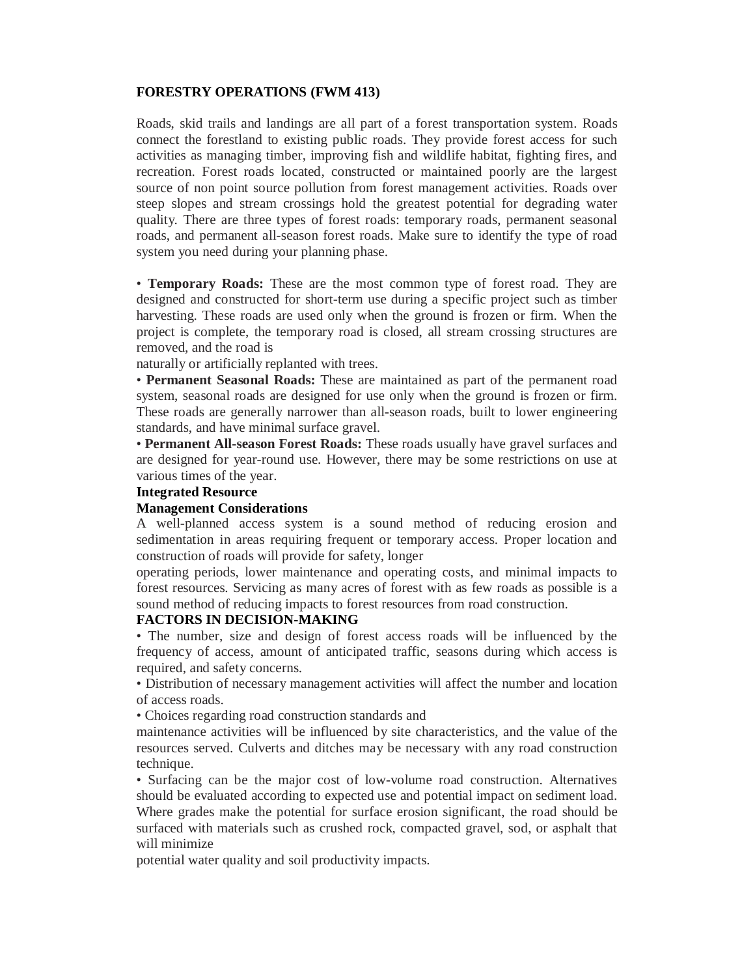### **FORESTRY OPERATIONS (FWM 413)**

Roads, skid trails and landings are all part of a forest transportation system. Roads connect the forestland to existing public roads. They provide forest access for such activities as managing timber, improving fish and wildlife habitat, fighting fires, and recreation. Forest roads located, constructed or maintained poorly are the largest source of non point source pollution from forest management activities. Roads over steep slopes and stream crossings hold the greatest potential for degrading water quality. There are three types of forest roads: temporary roads, permanent seasonal roads, and permanent all-season forest roads. Make sure to identify the type of road system you need during your planning phase.

• **Temporary Roads:** These are the most common type of forest road. They are designed and constructed for short-term use during a specific project such as timber harvesting. These roads are used only when the ground is frozen or firm. When the project is complete, the temporary road is closed, all stream crossing structures are removed, and the road is

naturally or artificially replanted with trees.

• **Permanent Seasonal Roads:** These are maintained as part of the permanent road system, seasonal roads are designed for use only when the ground is frozen or firm. These roads are generally narrower than all-season roads, built to lower engineering standards, and have minimal surface gravel.

• **Permanent All-season Forest Roads:** These roads usually have gravel surfaces and are designed for year-round use. However, there may be some restrictions on use at various times of the year.

#### **Integrated Resource**

#### **Management Considerations**

A well-planned access system is a sound method of reducing erosion and sedimentation in areas requiring frequent or temporary access. Proper location and construction of roads will provide for safety, longer

operating periods, lower maintenance and operating costs, and minimal impacts to forest resources. Servicing as many acres of forest with as few roads as possible is a sound method of reducing impacts to forest resources from road construction.

### **FACTORS IN DECISION-MAKING**

• The number, size and design of forest access roads will be influenced by the frequency of access, amount of anticipated traffic, seasons during which access is required, and safety concerns.

• Distribution of necessary management activities will affect the number and location of access roads.

• Choices regarding road construction standards and

maintenance activities will be influenced by site characteristics, and the value of the resources served. Culverts and ditches may be necessary with any road construction technique.

• Surfacing can be the major cost of low-volume road construction. Alternatives should be evaluated according to expected use and potential impact on sediment load. Where grades make the potential for surface erosion significant, the road should be surfaced with materials such as crushed rock, compacted gravel, sod, or asphalt that will minimize

potential water quality and soil productivity impacts.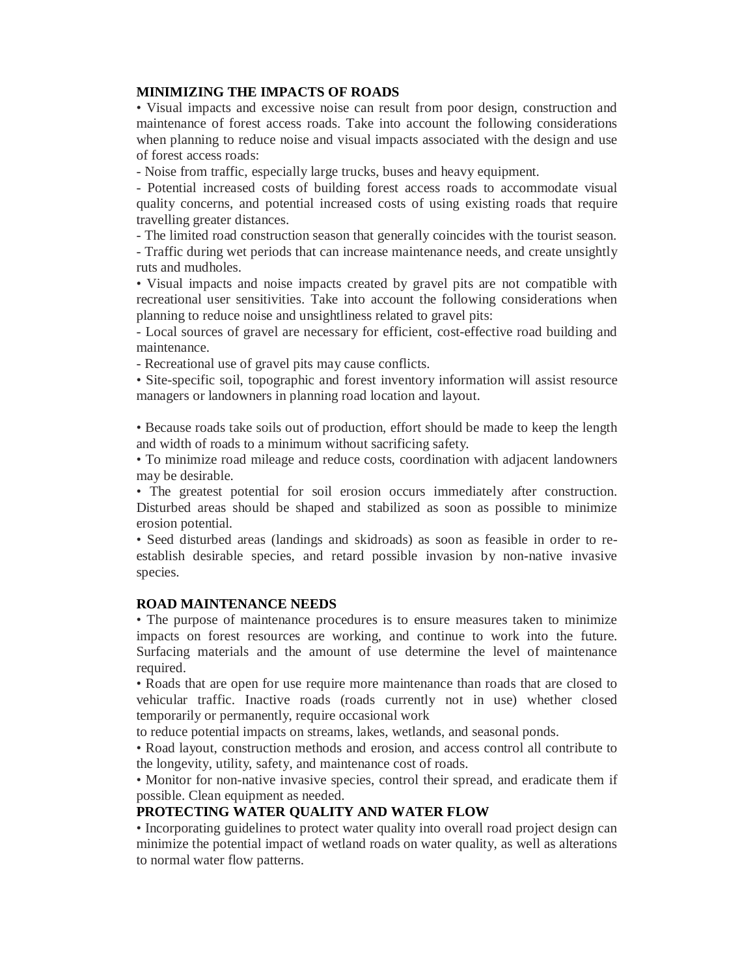### **MINIMIZING THE IMPACTS OF ROADS**

• Visual impacts and excessive noise can result from poor design, construction and maintenance of forest access roads. Take into account the following considerations when planning to reduce noise and visual impacts associated with the design and use of forest access roads:

- Noise from traffic, especially large trucks, buses and heavy equipment.

- Potential increased costs of building forest access roads to accommodate visual quality concerns, and potential increased costs of using existing roads that require travelling greater distances.

- The limited road construction season that generally coincides with the tourist season. - Traffic during wet periods that can increase maintenance needs, and create unsightly ruts and mudholes.

• Visual impacts and noise impacts created by gravel pits are not compatible with recreational user sensitivities. Take into account the following considerations when planning to reduce noise and unsightliness related to gravel pits:

- Local sources of gravel are necessary for efficient, cost-effective road building and maintenance.

- Recreational use of gravel pits may cause conflicts.

• Site-specific soil, topographic and forest inventory information will assist resource managers or landowners in planning road location and layout.

• Because roads take soils out of production, effort should be made to keep the length and width of roads to a minimum without sacrificing safety.

• To minimize road mileage and reduce costs, coordination with adjacent landowners may be desirable.

• The greatest potential for soil erosion occurs immediately after construction. Disturbed areas should be shaped and stabilized as soon as possible to minimize erosion potential.

• Seed disturbed areas (landings and skidroads) as soon as feasible in order to reestablish desirable species, and retard possible invasion by non-native invasive species.

# **ROAD MAINTENANCE NEEDS**

• The purpose of maintenance procedures is to ensure measures taken to minimize impacts on forest resources are working, and continue to work into the future. Surfacing materials and the amount of use determine the level of maintenance required.

• Roads that are open for use require more maintenance than roads that are closed to vehicular traffic. Inactive roads (roads currently not in use) whether closed temporarily or permanently, require occasional work

to reduce potential impacts on streams, lakes, wetlands, and seasonal ponds.

• Road layout, construction methods and erosion, and access control all contribute to the longevity, utility, safety, and maintenance cost of roads.

• Monitor for non-native invasive species, control their spread, and eradicate them if possible. Clean equipment as needed.

### **PROTECTING WATER QUALITY AND WATER FLOW**

• Incorporating guidelines to protect water quality into overall road project design can minimize the potential impact of wetland roads on water quality, as well as alterations to normal water flow patterns.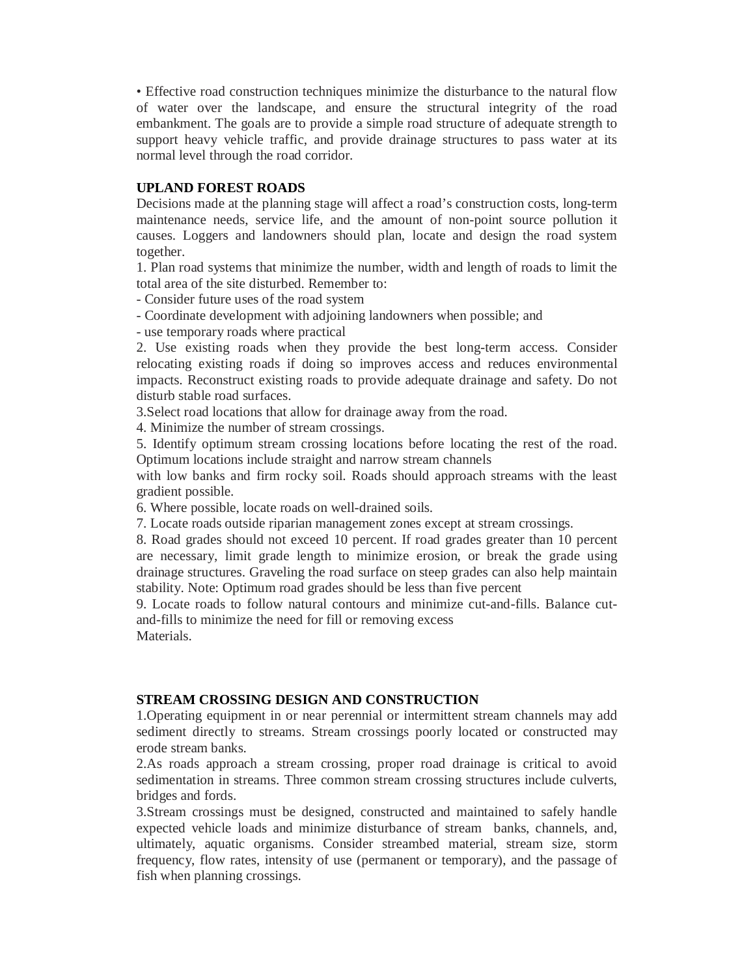• Effective road construction techniques minimize the disturbance to the natural flow of water over the landscape, and ensure the structural integrity of the road embankment. The goals are to provide a simple road structure of adequate strength to support heavy vehicle traffic, and provide drainage structures to pass water at its normal level through the road corridor.

#### **UPLAND FOREST ROADS**

Decisions made at the planning stage will affect a road's construction costs, long-term maintenance needs, service life, and the amount of non-point source pollution it causes. Loggers and landowners should plan, locate and design the road system together.

1. Plan road systems that minimize the number, width and length of roads to limit the total area of the site disturbed. Remember to:

- Consider future uses of the road system

- Coordinate development with adjoining landowners when possible; and

- use temporary roads where practical

2. Use existing roads when they provide the best long-term access. Consider relocating existing roads if doing so improves access and reduces environmental impacts. Reconstruct existing roads to provide adequate drainage and safety. Do not disturb stable road surfaces.

3.Select road locations that allow for drainage away from the road.

4. Minimize the number of stream crossings.

5. Identify optimum stream crossing locations before locating the rest of the road. Optimum locations include straight and narrow stream channels

with low banks and firm rocky soil. Roads should approach streams with the least gradient possible.

6. Where possible, locate roads on well-drained soils.

7. Locate roads outside riparian management zones except at stream crossings.

8. Road grades should not exceed 10 percent. If road grades greater than 10 percent are necessary, limit grade length to minimize erosion, or break the grade using drainage structures. Graveling the road surface on steep grades can also help maintain stability. Note: Optimum road grades should be less than five percent

9. Locate roads to follow natural contours and minimize cut-and-fills. Balance cutand-fills to minimize the need for fill or removing excess Materials.

#### **STREAM CROSSING DESIGN AND CONSTRUCTION**

1.Operating equipment in or near perennial or intermittent stream channels may add sediment directly to streams. Stream crossings poorly located or constructed may erode stream banks.

2.As roads approach a stream crossing, proper road drainage is critical to avoid sedimentation in streams. Three common stream crossing structures include culverts, bridges and fords.

3.Stream crossings must be designed, constructed and maintained to safely handle expected vehicle loads and minimize disturbance of stream banks, channels, and, ultimately, aquatic organisms. Consider streambed material, stream size, storm frequency, flow rates, intensity of use (permanent or temporary), and the passage of fish when planning crossings.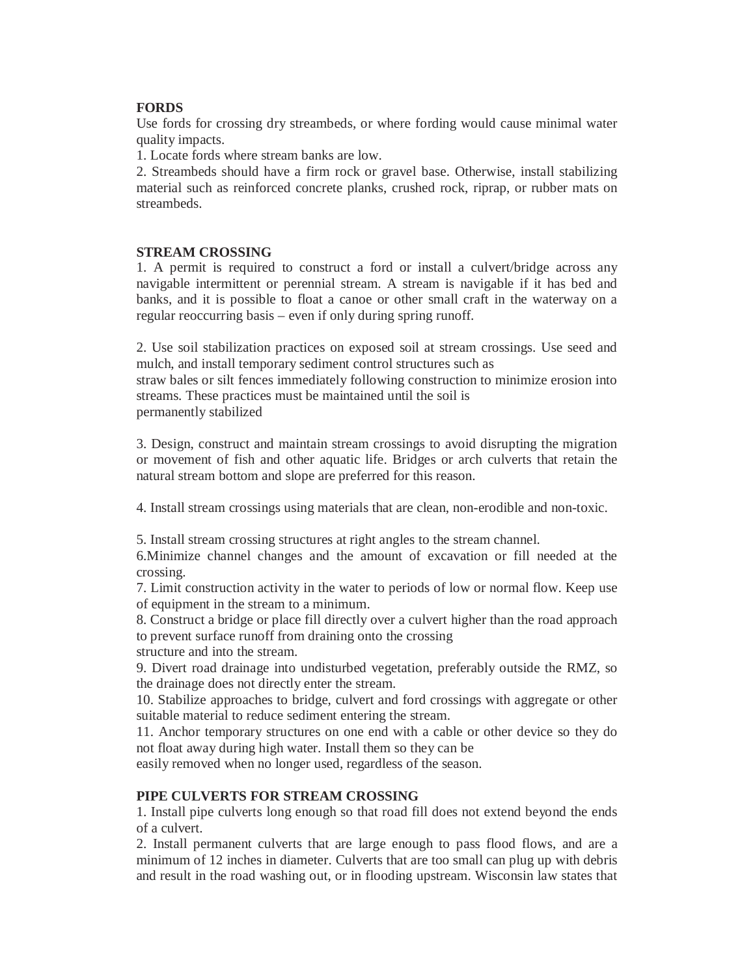# **FORDS**

Use fords for crossing dry streambeds, or where fording would cause minimal water quality impacts.

1. Locate fords where stream banks are low.

2. Streambeds should have a firm rock or gravel base. Otherwise, install stabilizing material such as reinforced concrete planks, crushed rock, riprap, or rubber mats on streambeds.

#### **STREAM CROSSING**

1. A permit is required to construct a ford or install a culvert/bridge across any navigable intermittent or perennial stream. A stream is navigable if it has bed and banks, and it is possible to float a canoe or other small craft in the waterway on a regular reoccurring basis – even if only during spring runoff.

2. Use soil stabilization practices on exposed soil at stream crossings. Use seed and mulch, and install temporary sediment control structures such as

straw bales or silt fences immediately following construction to minimize erosion into streams. These practices must be maintained until the soil is

permanently stabilized

3. Design, construct and maintain stream crossings to avoid disrupting the migration or movement of fish and other aquatic life. Bridges or arch culverts that retain the natural stream bottom and slope are preferred for this reason.

4. Install stream crossings using materials that are clean, non-erodible and non-toxic.

5. Install stream crossing structures at right angles to the stream channel.

6.Minimize channel changes and the amount of excavation or fill needed at the crossing.

7. Limit construction activity in the water to periods of low or normal flow. Keep use of equipment in the stream to a minimum.

8. Construct a bridge or place fill directly over a culvert higher than the road approach to prevent surface runoff from draining onto the crossing

structure and into the stream.

9. Divert road drainage into undisturbed vegetation, preferably outside the RMZ, so the drainage does not directly enter the stream.

10. Stabilize approaches to bridge, culvert and ford crossings with aggregate or other suitable material to reduce sediment entering the stream.

11. Anchor temporary structures on one end with a cable or other device so they do not float away during high water. Install them so they can be

easily removed when no longer used, regardless of the season.

### **PIPE CULVERTS FOR STREAM CROSSING**

1. Install pipe culverts long enough so that road fill does not extend beyond the ends of a culvert.

2. Install permanent culverts that are large enough to pass flood flows, and are a minimum of 12 inches in diameter. Culverts that are too small can plug up with debris and result in the road washing out, or in flooding upstream. Wisconsin law states that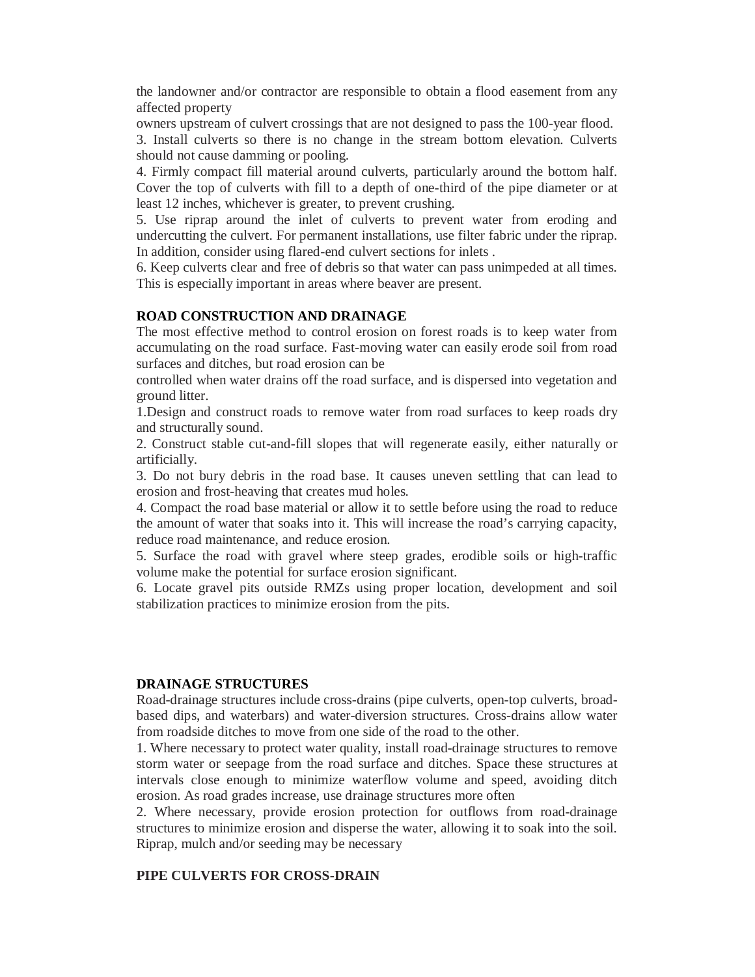the landowner and/or contractor are responsible to obtain a flood easement from any affected property

owners upstream of culvert crossings that are not designed to pass the 100-year flood.

3. Install culverts so there is no change in the stream bottom elevation. Culverts should not cause damming or pooling.

4. Firmly compact fill material around culverts, particularly around the bottom half. Cover the top of culverts with fill to a depth of one-third of the pipe diameter or at least 12 inches, whichever is greater, to prevent crushing.

5. Use riprap around the inlet of culverts to prevent water from eroding and undercutting the culvert. For permanent installations, use filter fabric under the riprap. In addition, consider using flared-end culvert sections for inlets .

6. Keep culverts clear and free of debris so that water can pass unimpeded at all times. This is especially important in areas where beaver are present.

#### **ROAD CONSTRUCTION AND DRAINAGE**

The most effective method to control erosion on forest roads is to keep water from accumulating on the road surface. Fast-moving water can easily erode soil from road surfaces and ditches, but road erosion can be

controlled when water drains off the road surface, and is dispersed into vegetation and ground litter.

1.Design and construct roads to remove water from road surfaces to keep roads dry and structurally sound.

2. Construct stable cut-and-fill slopes that will regenerate easily, either naturally or artificially.

3. Do not bury debris in the road base. It causes uneven settling that can lead to erosion and frost-heaving that creates mud holes.

4. Compact the road base material or allow it to settle before using the road to reduce the amount of water that soaks into it. This will increase the road's carrying capacity, reduce road maintenance, and reduce erosion.

5. Surface the road with gravel where steep grades, erodible soils or high-traffic volume make the potential for surface erosion significant.

6. Locate gravel pits outside RMZs using proper location, development and soil stabilization practices to minimize erosion from the pits.

#### **DRAINAGE STRUCTURES**

Road-drainage structures include cross-drains (pipe culverts, open-top culverts, broadbased dips, and waterbars) and water-diversion structures. Cross-drains allow water from roadside ditches to move from one side of the road to the other.

1. Where necessary to protect water quality, install road-drainage structures to remove storm water or seepage from the road surface and ditches. Space these structures at intervals close enough to minimize waterflow volume and speed, avoiding ditch erosion. As road grades increase, use drainage structures more often

2. Where necessary, provide erosion protection for outflows from road-drainage structures to minimize erosion and disperse the water, allowing it to soak into the soil. Riprap, mulch and/or seeding may be necessary

### **PIPE CULVERTS FOR CROSS-DRAIN**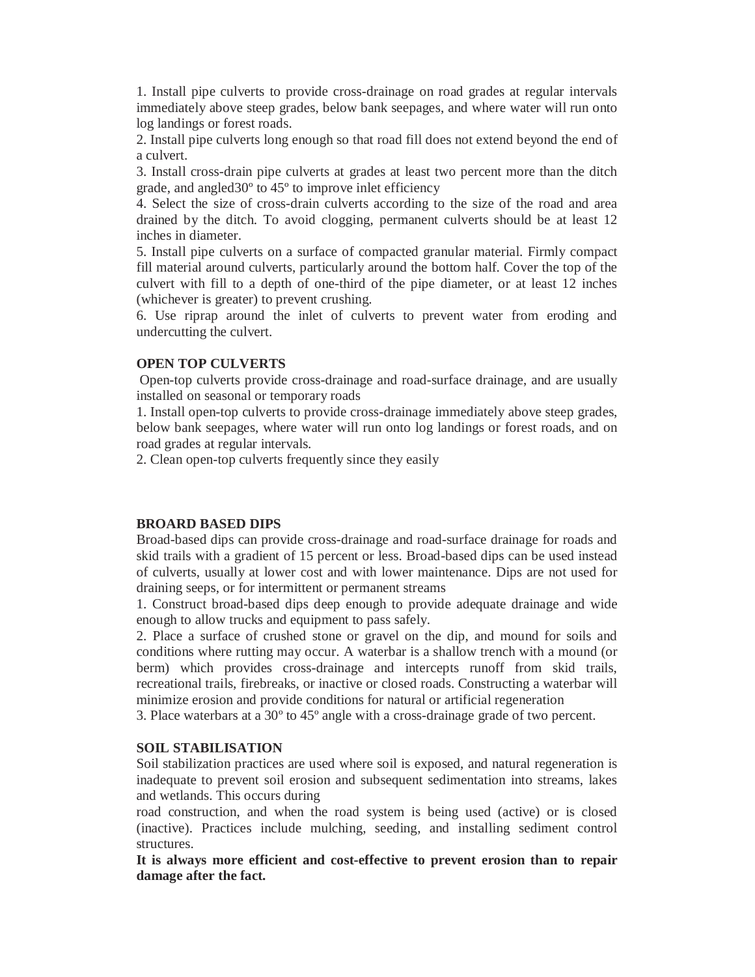1. Install pipe culverts to provide cross-drainage on road grades at regular intervals immediately above steep grades, below bank seepages, and where water will run onto log landings or forest roads.

2. Install pipe culverts long enough so that road fill does not extend beyond the end of a culvert.

3. Install cross-drain pipe culverts at grades at least two percent more than the ditch grade, and angled30º to 45º to improve inlet efficiency

4. Select the size of cross-drain culverts according to the size of the road and area drained by the ditch. To avoid clogging, permanent culverts should be at least 12 inches in diameter.

5. Install pipe culverts on a surface of compacted granular material. Firmly compact fill material around culverts, particularly around the bottom half. Cover the top of the culvert with fill to a depth of one-third of the pipe diameter, or at least 12 inches (whichever is greater) to prevent crushing.

6. Use riprap around the inlet of culverts to prevent water from eroding and undercutting the culvert.

### **OPEN TOP CULVERTS**

Open-top culverts provide cross-drainage and road-surface drainage, and are usually installed on seasonal or temporary roads

1. Install open-top culverts to provide cross-drainage immediately above steep grades, below bank seepages, where water will run onto log landings or forest roads, and on road grades at regular intervals.

2. Clean open-top culverts frequently since they easily

#### **BROARD BASED DIPS**

Broad-based dips can provide cross-drainage and road-surface drainage for roads and skid trails with a gradient of 15 percent or less. Broad-based dips can be used instead of culverts, usually at lower cost and with lower maintenance. Dips are not used for draining seeps, or for intermittent or permanent streams

1. Construct broad-based dips deep enough to provide adequate drainage and wide enough to allow trucks and equipment to pass safely.

2. Place a surface of crushed stone or gravel on the dip, and mound for soils and conditions where rutting may occur. A waterbar is a shallow trench with a mound (or berm) which provides cross-drainage and intercepts runoff from skid trails, recreational trails, firebreaks, or inactive or closed roads. Constructing a waterbar will minimize erosion and provide conditions for natural or artificial regeneration

3. Place waterbars at a 30º to 45º angle with a cross-drainage grade of two percent.

#### **SOIL STABILISATION**

Soil stabilization practices are used where soil is exposed, and natural regeneration is inadequate to prevent soil erosion and subsequent sedimentation into streams, lakes and wetlands. This occurs during

road construction, and when the road system is being used (active) or is closed (inactive). Practices include mulching, seeding, and installing sediment control structures.

**It is always more efficient and cost-effective to prevent erosion than to repair damage after the fact.**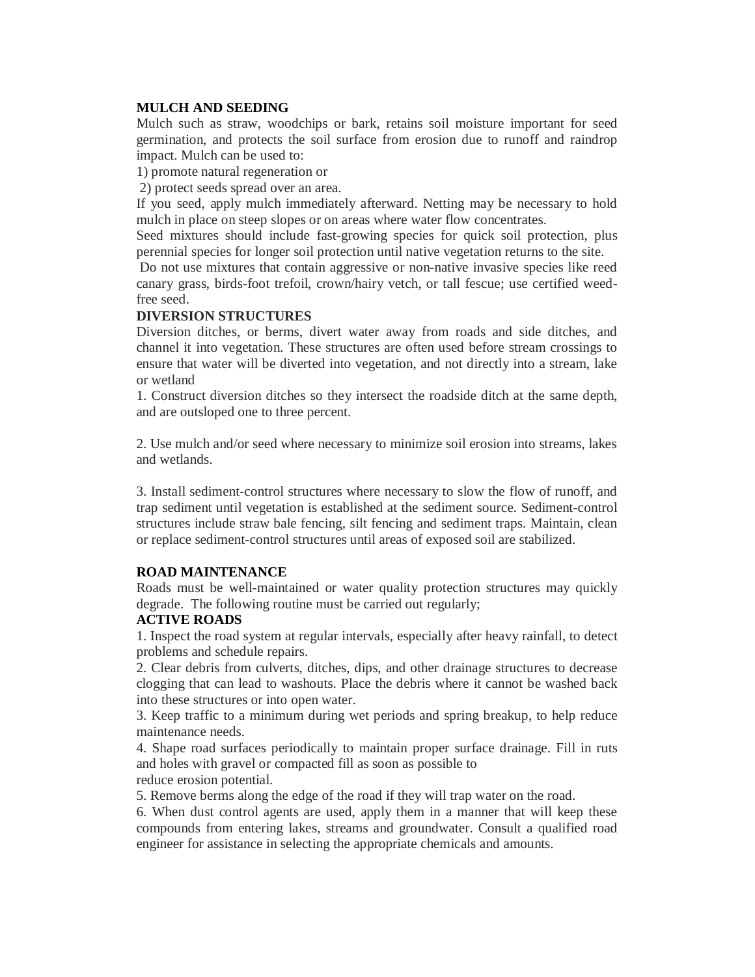## **MULCH AND SEEDING**

Mulch such as straw, woodchips or bark, retains soil moisture important for seed germination, and protects the soil surface from erosion due to runoff and raindrop impact. Mulch can be used to:

1) promote natural regeneration or

2) protect seeds spread over an area.

If you seed, apply mulch immediately afterward. Netting may be necessary to hold mulch in place on steep slopes or on areas where water flow concentrates.

Seed mixtures should include fast-growing species for quick soil protection, plus perennial species for longer soil protection until native vegetation returns to the site.

Do not use mixtures that contain aggressive or non-native invasive species like reed canary grass, birds-foot trefoil, crown/hairy vetch, or tall fescue; use certified weedfree seed.

### **DIVERSION STRUCTURES**

Diversion ditches, or berms, divert water away from roads and side ditches, and channel it into vegetation. These structures are often used before stream crossings to ensure that water will be diverted into vegetation, and not directly into a stream, lake or wetland

1. Construct diversion ditches so they intersect the roadside ditch at the same depth, and are outsloped one to three percent.

2. Use mulch and/or seed where necessary to minimize soil erosion into streams, lakes and wetlands.

3. Install sediment-control structures where necessary to slow the flow of runoff, and trap sediment until vegetation is established at the sediment source. Sediment-control structures include straw bale fencing, silt fencing and sediment traps. Maintain, clean or replace sediment-control structures until areas of exposed soil are stabilized.

### **ROAD MAINTENANCE**

Roads must be well-maintained or water quality protection structures may quickly degrade. The following routine must be carried out regularly;

### **ACTIVE ROADS**

1. Inspect the road system at regular intervals, especially after heavy rainfall, to detect problems and schedule repairs.

2. Clear debris from culverts, ditches, dips, and other drainage structures to decrease clogging that can lead to washouts. Place the debris where it cannot be washed back into these structures or into open water.

3. Keep traffic to a minimum during wet periods and spring breakup, to help reduce maintenance needs.

4. Shape road surfaces periodically to maintain proper surface drainage. Fill in ruts and holes with gravel or compacted fill as soon as possible to

reduce erosion potential.

5. Remove berms along the edge of the road if they will trap water on the road.

6. When dust control agents are used, apply them in a manner that will keep these compounds from entering lakes, streams and groundwater. Consult a qualified road engineer for assistance in selecting the appropriate chemicals and amounts.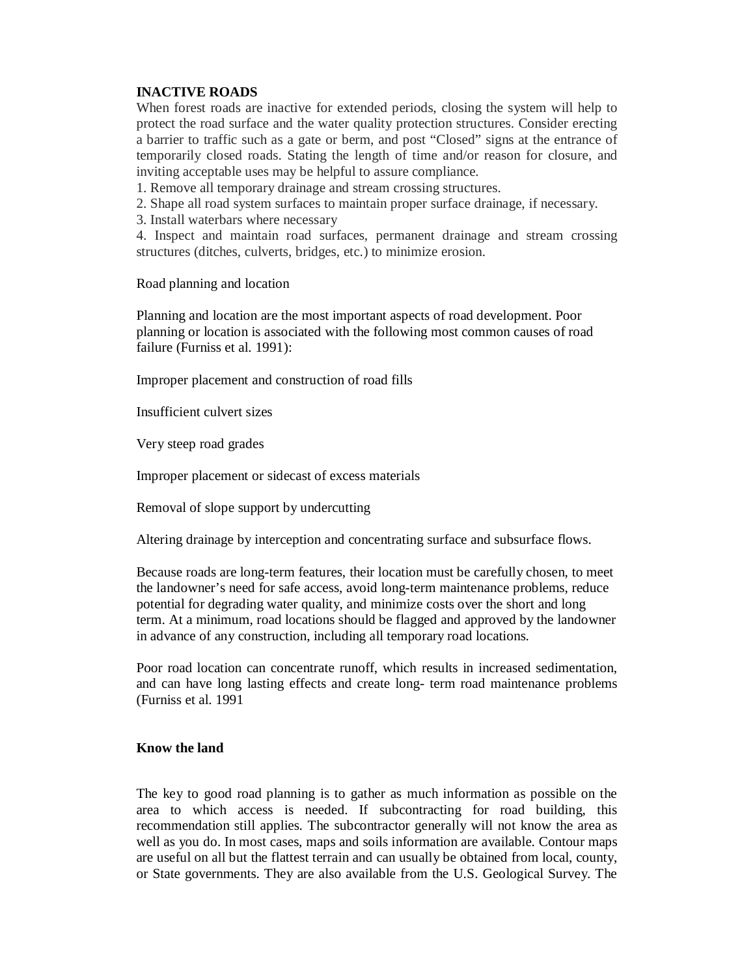# **INACTIVE ROADS**

When forest roads are inactive for extended periods, closing the system will help to protect the road surface and the water quality protection structures. Consider erecting a barrier to traffic such as a gate or berm, and post "Closed" signs at the entrance of temporarily closed roads. Stating the length of time and/or reason for closure, and inviting acceptable uses may be helpful to assure compliance.

1. Remove all temporary drainage and stream crossing structures.

- 2. Shape all road system surfaces to maintain proper surface drainage, if necessary.
- 3. Install waterbars where necessary

4. Inspect and maintain road surfaces, permanent drainage and stream crossing structures (ditches, culverts, bridges, etc.) to minimize erosion.

Road planning and location

Planning and location are the most important aspects of road development. Poor planning or location is associated with the following most common causes of road failure (Furniss et al. 1991):

Improper placement and construction of road fills

Insufficient culvert sizes

Very steep road grades

Improper placement or sidecast of excess materials

Removal of slope support by undercutting

Altering drainage by interception and concentrating surface and subsurface flows.

Because roads are long-term features, their location must be carefully chosen, to meet the landowner's need for safe access, avoid long-term maintenance problems, reduce potential for degrading water quality, and minimize costs over the short and long term. At a minimum, road locations should be flagged and approved by the landowner in advance of any construction, including all temporary road locations.

Poor road location can concentrate runoff, which results in increased sedimentation, and can have long lasting effects and create long- term road maintenance problems (Furniss et al. 1991

### **Know the land**

The key to good road planning is to gather as much information as possible on the area to which access is needed. If subcontracting for road building, this recommendation still applies. The subcontractor generally will not know the area as well as you do. In most cases, maps and soils information are available. Contour maps are useful on all but the flattest terrain and can usually be obtained from local, county, or State governments. They are also available from the U.S. Geological Survey. The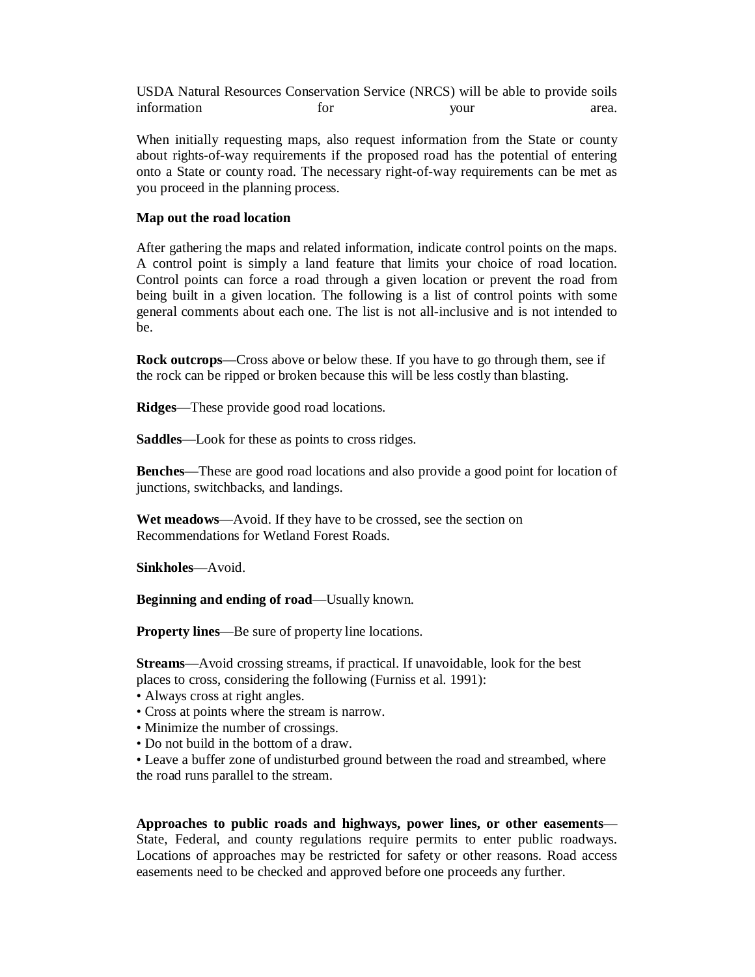USDA Natural Resources Conservation Service (NRCS) will be able to provide soils information for your area.

When initially requesting maps, also request information from the State or county about rights-of-way requirements if the proposed road has the potential of entering onto a State or county road. The necessary right-of-way requirements can be met as you proceed in the planning process.

#### **Map out the road location**

After gathering the maps and related information, indicate control points on the maps. A control point is simply a land feature that limits your choice of road location. Control points can force a road through a given location or prevent the road from being built in a given location. The following is a list of control points with some general comments about each one. The list is not all-inclusive and is not intended to be.

**Rock outcrops**—Cross above or below these. If you have to go through them, see if the rock can be ripped or broken because this will be less costly than blasting.

**Ridges**—These provide good road locations.

**Saddles**—Look for these as points to cross ridges.

**Benches**—These are good road locations and also provide a good point for location of junctions, switchbacks, and landings.

**Wet meadows**—Avoid. If they have to be crossed, see the section on Recommendations for Wetland Forest Roads.

**Sinkholes**—Avoid.

**Beginning and ending of road**—Usually known.

**Property lines**—Be sure of property line locations.

**Streams**—Avoid crossing streams, if practical. If unavoidable, look for the best places to cross, considering the following (Furniss et al. 1991):

- Always cross at right angles.
- Cross at points where the stream is narrow.
- Minimize the number of crossings.
- Do not build in the bottom of a draw.

• Leave a buffer zone of undisturbed ground between the road and streambed, where the road runs parallel to the stream.

**Approaches to public roads and highways, power lines, or other easements**— State, Federal, and county regulations require permits to enter public roadways. Locations of approaches may be restricted for safety or other reasons. Road access easements need to be checked and approved before one proceeds any further.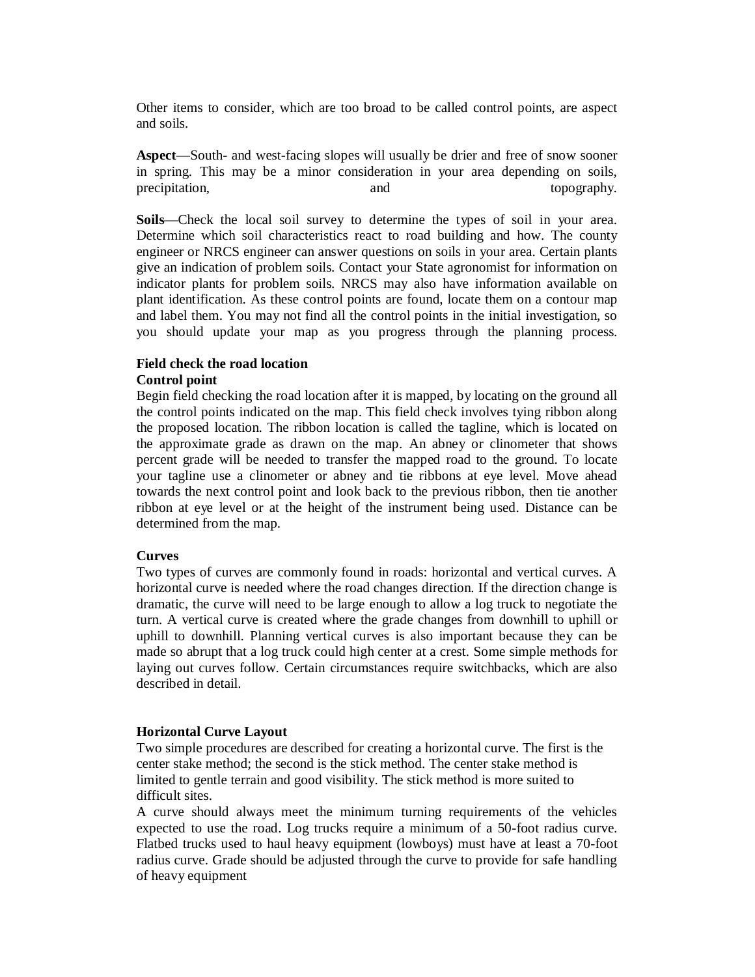Other items to consider, which are too broad to be called control points, are aspect and soils.

**Aspect**—South- and west-facing slopes will usually be drier and free of snow sooner in spring. This may be a minor consideration in your area depending on soils, precipitation, and and topography.

**Soils**—Check the local soil survey to determine the types of soil in your area. Determine which soil characteristics react to road building and how. The county engineer or NRCS engineer can answer questions on soils in your area. Certain plants give an indication of problem soils. Contact your State agronomist for information on indicator plants for problem soils. NRCS may also have information available on plant identification. As these control points are found, locate them on a contour map and label them. You may not find all the control points in the initial investigation, so you should update your map as you progress through the planning process.

#### **Field check the road location Control point**

Begin field checking the road location after it is mapped, by locating on the ground all the control points indicated on the map. This field check involves tying ribbon along the proposed location. The ribbon location is called the tagline, which is located on the approximate grade as drawn on the map. An abney or clinometer that shows percent grade will be needed to transfer the mapped road to the ground. To locate your tagline use a clinometer or abney and tie ribbons at eye level. Move ahead towards the next control point and look back to the previous ribbon, then tie another ribbon at eye level or at the height of the instrument being used. Distance can be determined from the map.

### **Curves**

Two types of curves are commonly found in roads: horizontal and vertical curves. A horizontal curve is needed where the road changes direction. If the direction change is dramatic, the curve will need to be large enough to allow a log truck to negotiate the turn. A vertical curve is created where the grade changes from downhill to uphill or uphill to downhill. Planning vertical curves is also important because they can be made so abrupt that a log truck could high center at a crest. Some simple methods for laying out curves follow. Certain circumstances require switchbacks, which are also described in detail.

#### **Horizontal Curve Layout**

Two simple procedures are described for creating a horizontal curve. The first is the center stake method; the second is the stick method. The center stake method is limited to gentle terrain and good visibility. The stick method is more suited to difficult sites.

A curve should always meet the minimum turning requirements of the vehicles expected to use the road. Log trucks require a minimum of a 50-foot radius curve. Flatbed trucks used to haul heavy equipment (lowboys) must have at least a 70-foot radius curve. Grade should be adjusted through the curve to provide for safe handling of heavy equipment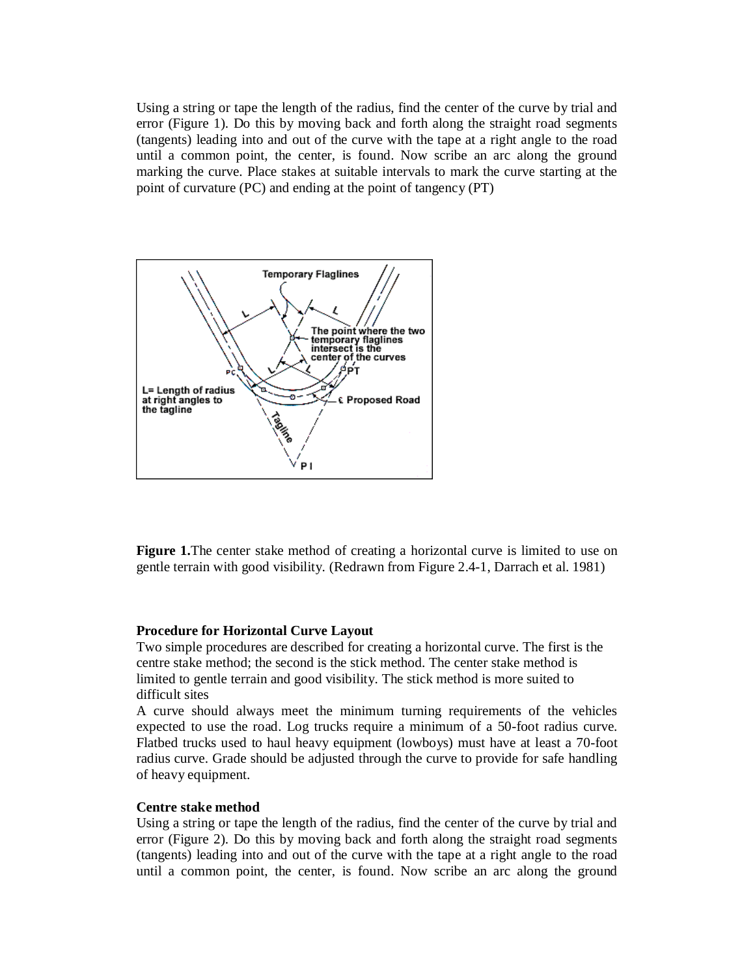Using a string or tape the length of the radius, find the center of the curve by trial and error (Figure 1). Do this by moving back and forth along the straight road segments (tangents) leading into and out of the curve with the tape at a right angle to the road until a common point, the center, is found. Now scribe an arc along the ground marking the curve. Place stakes at suitable intervals to mark the curve starting at the point of curvature (PC) and ending at the point of tangency (PT)



**Figure 1.**The center stake method of creating a horizontal curve is limited to use on gentle terrain with good visibility. (Redrawn from Figure 2.4-1, Darrach et al. 1981)

#### **Procedure for Horizontal Curve Layout**

Two simple procedures are described for creating a horizontal curve. The first is the centre stake method; the second is the stick method. The center stake method is limited to gentle terrain and good visibility. The stick method is more suited to difficult sites

A curve should always meet the minimum turning requirements of the vehicles expected to use the road. Log trucks require a minimum of a 50-foot radius curve. Flatbed trucks used to haul heavy equipment (lowboys) must have at least a 70-foot radius curve. Grade should be adjusted through the curve to provide for safe handling of heavy equipment.

#### **Centre stake method**

Using a string or tape the length of the radius, find the center of the curve by trial and error (Figure 2). Do this by moving back and forth along the straight road segments (tangents) leading into and out of the curve with the tape at a right angle to the road until a common point, the center, is found. Now scribe an arc along the ground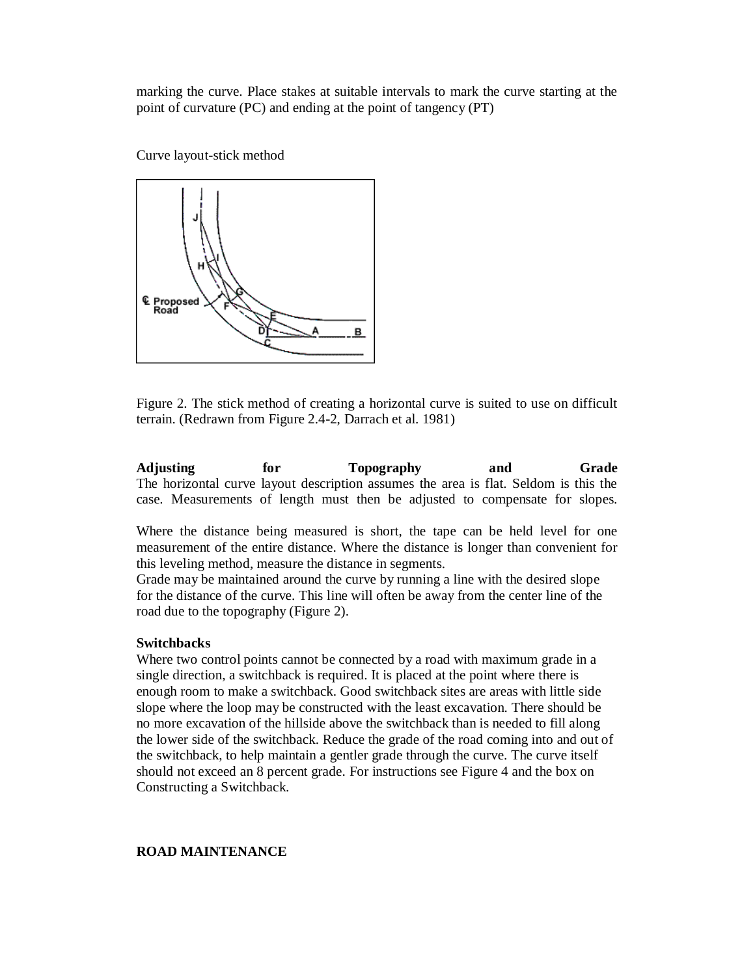marking the curve. Place stakes at suitable intervals to mark the curve starting at the point of curvature (PC) and ending at the point of tangency (PT)

Curve layout-stick method



Figure 2. The stick method of creating a horizontal curve is suited to use on difficult terrain. (Redrawn from Figure 2.4-2, Darrach et al. 1981)

**Adjusting for Topography and Grade** The horizontal curve layout description assumes the area is flat. Seldom is this the case. Measurements of length must then be adjusted to compensate for slopes.

Where the distance being measured is short, the tape can be held level for one measurement of the entire distance. Where the distance is longer than convenient for this leveling method, measure the distance in segments.

Grade may be maintained around the curve by running a line with the desired slope for the distance of the curve. This line will often be away from the center line of the road due to the topography (Figure 2).

#### **Switchbacks**

Where two control points cannot be connected by a road with maximum grade in a single direction, a switchback is required. It is placed at the point where there is enough room to make a switchback. Good switchback sites are areas with little side slope where the loop may be constructed with the least excavation. There should be no more excavation of the hillside above the switchback than is needed to fill along the lower side of the switchback. Reduce the grade of the road coming into and out of the switchback, to help maintain a gentler grade through the curve. The curve itself should not exceed an 8 percent grade. For instructions see Figure 4 and the box on Constructing a Switchback.

### **ROAD MAINTENANCE**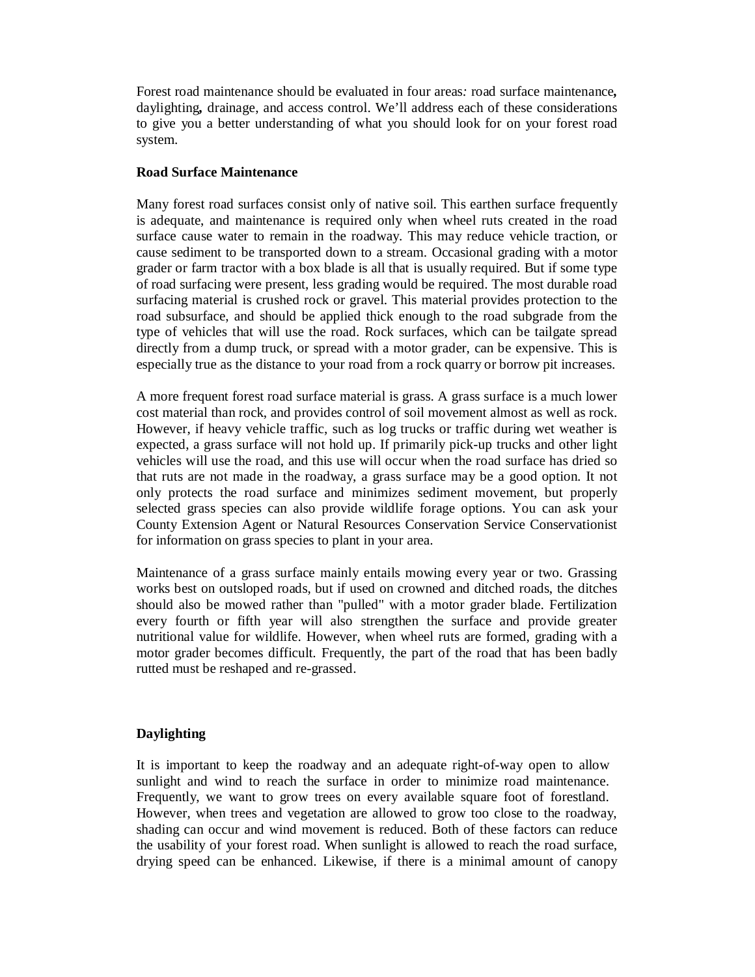Forest road maintenance should be evaluated in four areas*:* road surface maintenance*,*  daylighting*,* drainage, and access control. We'll address each of these considerations to give you a better understanding of what you should look for on your forest road system.

#### **Road Surface Maintenance**

Many forest road surfaces consist only of native soil. This earthen surface frequently is adequate, and maintenance is required only when wheel ruts created in the road surface cause water to remain in the roadway. This may reduce vehicle traction, or cause sediment to be transported down to a stream. Occasional grading with a motor grader or farm tractor with a box blade is all that is usually required. But if some type of road surfacing were present, less grading would be required. The most durable road surfacing material is crushed rock or gravel. This material provides protection to the road subsurface, and should be applied thick enough to the road subgrade from the type of vehicles that will use the road. Rock surfaces, which can be tailgate spread directly from a dump truck, or spread with a motor grader, can be expensive. This is especially true as the distance to your road from a rock quarry or borrow pit increases.

A more frequent forest road surface material is grass. A grass surface is a much lower cost material than rock, and provides control of soil movement almost as well as rock. However, if heavy vehicle traffic, such as log trucks or traffic during wet weather is expected, a grass surface will not hold up. If primarily pick-up trucks and other light vehicles will use the road, and this use will occur when the road surface has dried so that ruts are not made in the roadway, a grass surface may be a good option. It not only protects the road surface and minimizes sediment movement, but properly selected grass species can also provide wildlife forage options. You can ask your County Extension Agent or Natural Resources Conservation Service Conservationist for information on grass species to plant in your area.

Maintenance of a grass surface mainly entails mowing every year or two. Grassing works best on outsloped roads, but if used on crowned and ditched roads, the ditches should also be mowed rather than "pulled" with a motor grader blade. Fertilization every fourth or fifth year will also strengthen the surface and provide greater nutritional value for wildlife. However, when wheel ruts are formed, grading with a motor grader becomes difficult. Frequently, the part of the road that has been badly rutted must be reshaped and re-grassed.

### **Daylighting**

It is important to keep the roadway and an adequate right-of-way open to allow sunlight and wind to reach the surface in order to minimize road maintenance. Frequently, we want to grow trees on every available square foot of forestland. However, when trees and vegetation are allowed to grow too close to the roadway, shading can occur and wind movement is reduced. Both of these factors can reduce the usability of your forest road. When sunlight is allowed to reach the road surface, drying speed can be enhanced. Likewise, if there is a minimal amount of canopy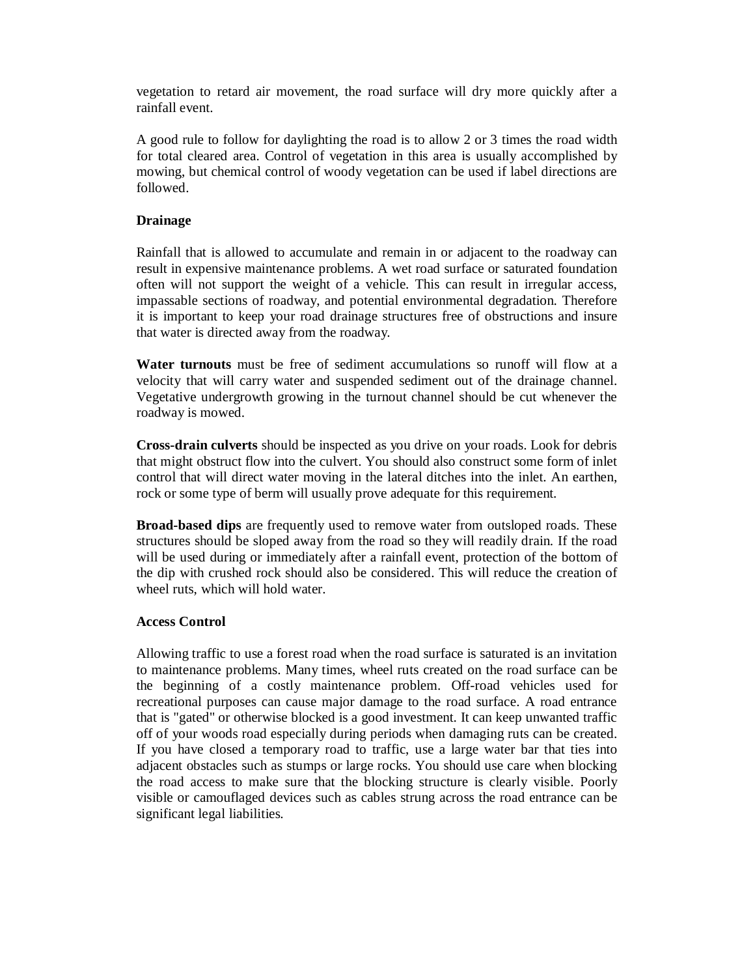vegetation to retard air movement, the road surface will dry more quickly after a rainfall event.

A good rule to follow for daylighting the road is to allow 2 or 3 times the road width for total cleared area. Control of vegetation in this area is usually accomplished by mowing, but chemical control of woody vegetation can be used if label directions are followed.

### **Drainage**

Rainfall that is allowed to accumulate and remain in or adjacent to the roadway can result in expensive maintenance problems. A wet road surface or saturated foundation often will not support the weight of a vehicle. This can result in irregular access, impassable sections of roadway, and potential environmental degradation. Therefore it is important to keep your road drainage structures free of obstructions and insure that water is directed away from the roadway.

**Water turnouts** must be free of sediment accumulations so runoff will flow at a velocity that will carry water and suspended sediment out of the drainage channel. Vegetative undergrowth growing in the turnout channel should be cut whenever the roadway is mowed.

**Cross-drain culverts** should be inspected as you drive on your roads. Look for debris that might obstruct flow into the culvert. You should also construct some form of inlet control that will direct water moving in the lateral ditches into the inlet. An earthen, rock or some type of berm will usually prove adequate for this requirement.

**Broad-based dips** are frequently used to remove water from outsloped roads. These structures should be sloped away from the road so they will readily drain. If the road will be used during or immediately after a rainfall event, protection of the bottom of the dip with crushed rock should also be considered. This will reduce the creation of wheel ruts, which will hold water.

### **Access Control**

Allowing traffic to use a forest road when the road surface is saturated is an invitation to maintenance problems. Many times, wheel ruts created on the road surface can be the beginning of a costly maintenance problem. Off-road vehicles used for recreational purposes can cause major damage to the road surface. A road entrance that is "gated" or otherwise blocked is a good investment. It can keep unwanted traffic off of your woods road especially during periods when damaging ruts can be created. If you have closed a temporary road to traffic, use a large water bar that ties into adjacent obstacles such as stumps or large rocks. You should use care when blocking the road access to make sure that the blocking structure is clearly visible. Poorly visible or camouflaged devices such as cables strung across the road entrance can be significant legal liabilities.